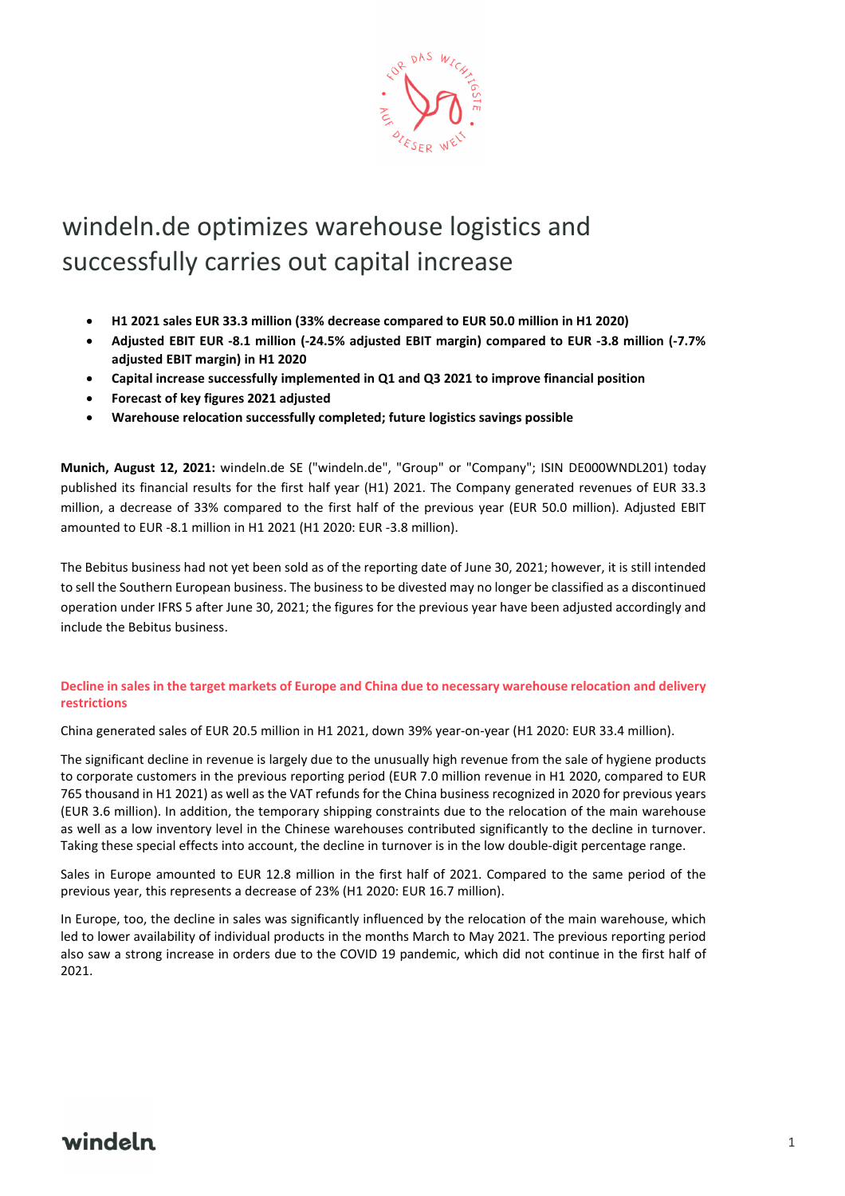

# windeln.de optimizes warehouse logistics and successfully carries out capital increase

- **H1 2021 sales EUR 33.3 million (33% decrease compared to EUR 50.0 million in H1 2020)**
- **Adjusted EBIT EUR -8.1 million (-24.5% adjusted EBIT margin) compared to EUR -3.8 million (-7.7% adjusted EBIT margin) in H1 2020**
- **Capital increase successfully implemented in Q1 and Q3 2021 to improve financial position**
- **Forecast of key figures 2021 adjusted**
- **Warehouse relocation successfully completed; future logistics savings possible**

**Munich, August 12, 2021:** windeln.de SE ("windeln.de", "Group" or "Company"; ISIN DE000WNDL201) today published its financial results for the first half year (H1) 2021. The Company generated revenues of EUR 33.3 million, a decrease of 33% compared to the first half of the previous year (EUR 50.0 million). Adjusted EBIT amounted to EUR -8.1 million in H1 2021 (H1 2020: EUR -3.8 million).

The Bebitus business had not yet been sold as of the reporting date of June 30, 2021; however, it is still intended to sell the Southern European business. The business to be divested may no longer be classified as a discontinued operation under IFRS 5 after June 30, 2021; the figures for the previous year have been adjusted accordingly and include the Bebitus business.

### **Decline in sales in the target markets of Europe and China due to necessary warehouse relocation and delivery restrictions**

China generated sales of EUR 20.5 million in H1 2021, down 39% year-on-year (H1 2020: EUR 33.4 million).

The significant decline in revenue is largely due to the unusually high revenue from the sale of hygiene products to corporate customers in the previous reporting period (EUR 7.0 million revenue in H1 2020, compared to EUR 765 thousand in H1 2021) as well as the VAT refunds for the China business recognized in 2020 for previous years (EUR 3.6 million). In addition, the temporary shipping constraints due to the relocation of the main warehouse as well as a low inventory level in the Chinese warehouses contributed significantly to the decline in turnover. Taking these special effects into account, the decline in turnover is in the low double-digit percentage range.

Sales in Europe amounted to EUR 12.8 million in the first half of 2021. Compared to the same period of the previous year, this represents a decrease of 23% (H1 2020: EUR 16.7 million).

In Europe, too, the decline in sales was significantly influenced by the relocation of the main warehouse, which led to lower availability of individual products in the months March to May 2021. The previous reporting period also saw a strong increase in orders due to the COVID 19 pandemic, which did not continue in the first half of 2021.

### windeln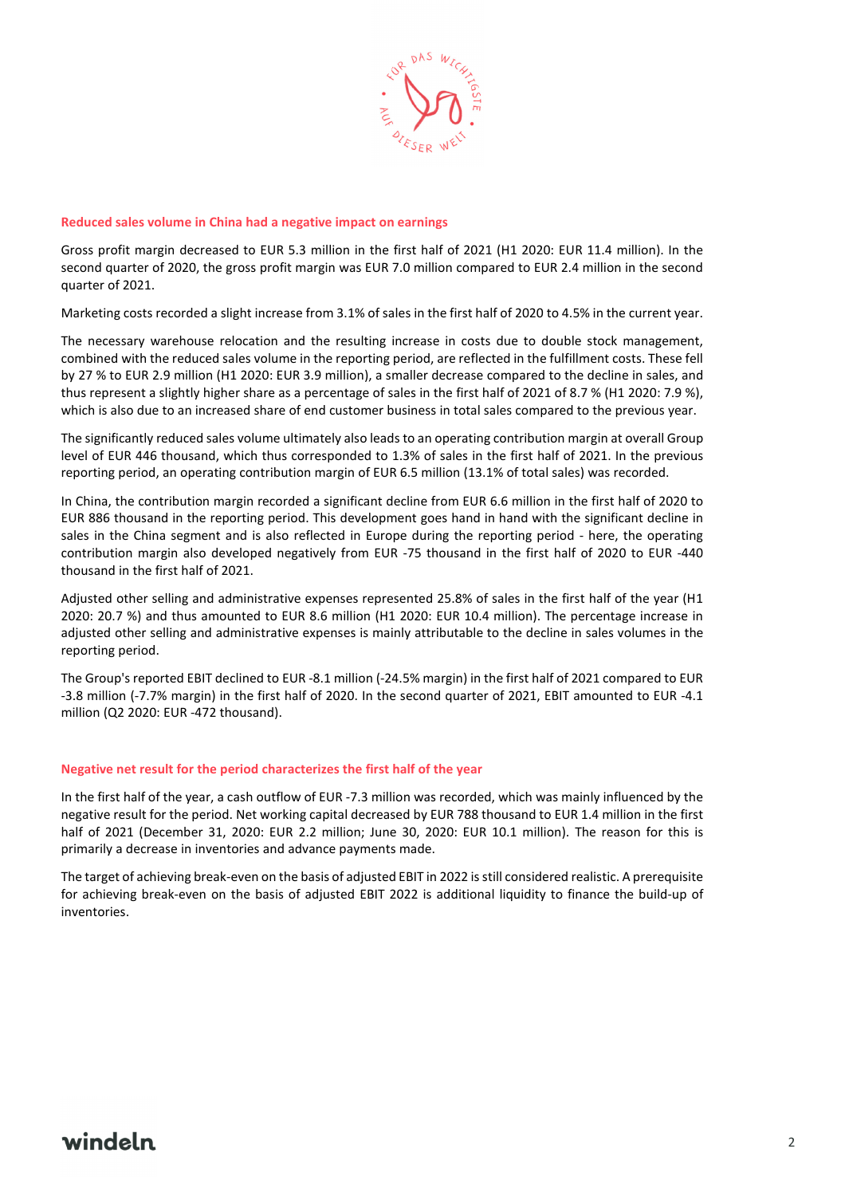

#### **Reduced sales volume in China had a negative impact on earnings**

Gross profit margin decreased to EUR 5.3 million in the first half of 2021 (H1 2020: EUR 11.4 million). In the second quarter of 2020, the gross profit margin was EUR 7.0 million compared to EUR 2.4 million in the second quarter of 2021.

Marketing costs recorded a slight increase from 3.1% of sales in the first half of 2020 to 4.5% in the current year.

The necessary warehouse relocation and the resulting increase in costs due to double stock management, combined with the reduced sales volume in the reporting period, are reflected in the fulfillment costs. These fell by 27 % to EUR 2.9 million (H1 2020: EUR 3.9 million), a smaller decrease compared to the decline in sales, and thus represent a slightly higher share as a percentage of sales in the first half of 2021 of 8.7 % (H1 2020: 7.9 %), which is also due to an increased share of end customer business in total sales compared to the previous year.

The significantly reduced sales volume ultimately also leads to an operating contribution margin at overall Group level of EUR 446 thousand, which thus corresponded to 1.3% of sales in the first half of 2021. In the previous reporting period, an operating contribution margin of EUR 6.5 million (13.1% of total sales) was recorded.

In China, the contribution margin recorded a significant decline from EUR 6.6 million in the first half of 2020 to EUR 886 thousand in the reporting period. This development goes hand in hand with the significant decline in sales in the China segment and is also reflected in Europe during the reporting period - here, the operating contribution margin also developed negatively from EUR -75 thousand in the first half of 2020 to EUR -440 thousand in the first half of 2021.

Adjusted other selling and administrative expenses represented 25.8% of sales in the first half of the year (H1 2020: 20.7 %) and thus amounted to EUR 8.6 million (H1 2020: EUR 10.4 million). The percentage increase in adjusted other selling and administrative expenses is mainly attributable to the decline in sales volumes in the reporting period.

The Group's reported EBIT declined to EUR -8.1 million (-24.5% margin) in the first half of 2021 compared to EUR -3.8 million (-7.7% margin) in the first half of 2020. In the second quarter of 2021, EBIT amounted to EUR -4.1 million (Q2 2020: EUR -472 thousand).

#### **Negative net result for the period characterizes the first half of the year**

In the first half of the year, a cash outflow of EUR -7.3 million was recorded, which was mainly influenced by the negative result for the period. Net working capital decreased by EUR 788 thousand to EUR 1.4 million in the first half of 2021 (December 31, 2020: EUR 2.2 million; June 30, 2020: EUR 10.1 million). The reason for this is primarily a decrease in inventories and advance payments made.

The target of achieving break-even on the basis of adjusted EBIT in 2022 is still considered realistic. A prerequisite for achieving break-even on the basis of adjusted EBIT 2022 is additional liquidity to finance the build-up of inventories.

### windeln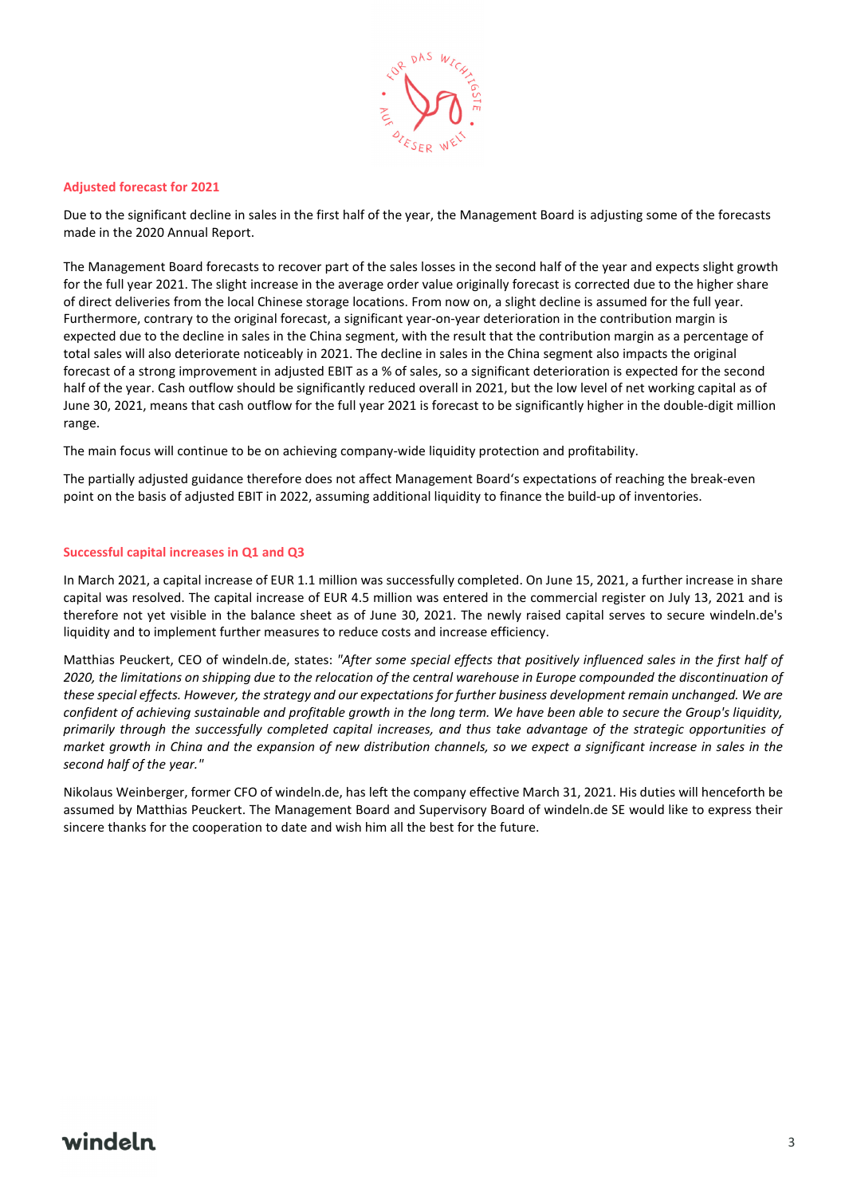

#### **Adjusted forecast for 2021**

Due to the significant decline in sales in the first half of the year, the Management Board is adjusting some of the forecasts made in the 2020 Annual Report.

The Management Board forecasts to recover part of the sales losses in the second half of the year and expects slight growth for the full year 2021. The slight increase in the average order value originally forecast is corrected due to the higher share of direct deliveries from the local Chinese storage locations. From now on, a slight decline is assumed for the full year. Furthermore, contrary to the original forecast, a significant year-on-year deterioration in the contribution margin is expected due to the decline in sales in the China segment, with the result that the contribution margin as a percentage of total sales will also deteriorate noticeably in 2021. The decline in sales in the China segment also impacts the original forecast of a strong improvement in adjusted EBIT as a % of sales, so a significant deterioration is expected for the second half of the year. Cash outflow should be significantly reduced overall in 2021, but the low level of net working capital as of June 30, 2021, means that cash outflow for the full year 2021 is forecast to be significantly higher in the double-digit million range.

The main focus will continue to be on achieving company-wide liquidity protection and profitability.

The partially adjusted guidance therefore does not affect Management Board's expectations of reaching the break-even point on the basis of adjusted EBIT in 2022, assuming additional liquidity to finance the build-up of inventories.

#### **Successful capital increases in Q1 and Q3**

In March 2021, a capital increase of EUR 1.1 million was successfully completed. On June 15, 2021, a further increase in share capital was resolved. The capital increase of EUR 4.5 million was entered in the commercial register on July 13, 2021 and is therefore not yet visible in the balance sheet as of June 30, 2021. The newly raised capital serves to secure windeln.de's liquidity and to implement further measures to reduce costs and increase efficiency.

Matthias Peuckert, CEO of windeln.de, states: *"After some special effects that positively influenced sales in the first half of 2020, the limitations on shipping due to the relocation of the central warehouse in Europe compounded the discontinuation of these special effects. However, the strategy and our expectations for further business development remain unchanged. We are confident of achieving sustainable and profitable growth in the long term. We have been able to secure the Group's liquidity, primarily through the successfully completed capital increases, and thus take advantage of the strategic opportunities of market growth in China and the expansion of new distribution channels, so we expect a significant increase in sales in the second half of the year."* 

Nikolaus Weinberger, former CFO of windeln.de, has left the company effective March 31, 2021. His duties will henceforth be assumed by Matthias Peuckert. The Management Board and Supervisory Board of windeln.de SE would like to express their sincere thanks for the cooperation to date and wish him all the best for the future.